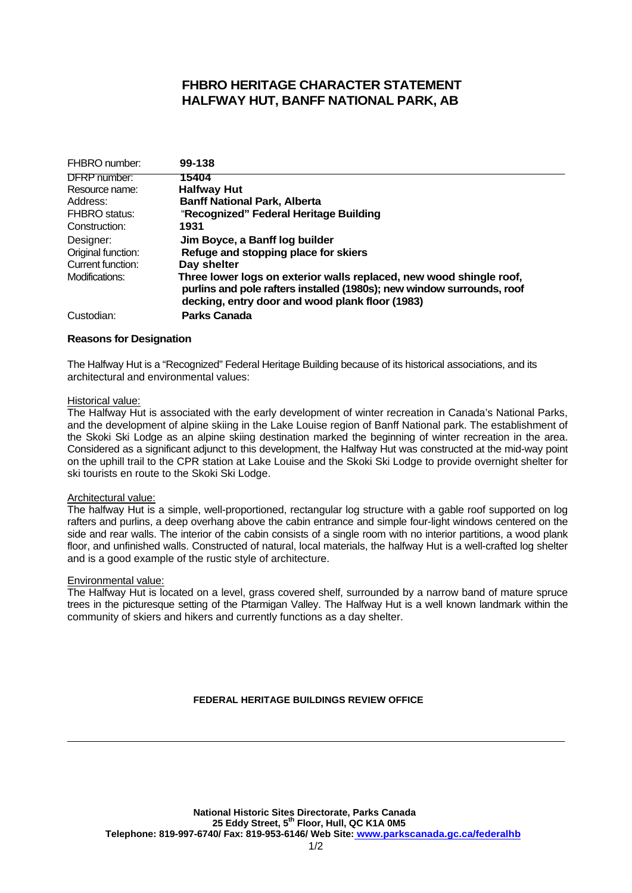## **FHBRO HERITAGE CHARACTER STATEMENT HALFWAY HUT, BANFF NATIONAL PARK, AB**

| FHBRO number:        | 99-138                                                                                                                                                                                           |
|----------------------|--------------------------------------------------------------------------------------------------------------------------------------------------------------------------------------------------|
| <b>DFRP</b> number:  | 15404                                                                                                                                                                                            |
| Resource name:       | <b>Halfway Hut</b>                                                                                                                                                                               |
| Address:             | <b>Banff National Park, Alberta</b>                                                                                                                                                              |
| <b>FHBRO</b> status: | "Recognized" Federal Heritage Building                                                                                                                                                           |
| Construction:        | 1931                                                                                                                                                                                             |
| Designer:            | Jim Boyce, a Banff log builder                                                                                                                                                                   |
| Original function:   | Refuge and stopping place for skiers                                                                                                                                                             |
| Current function:    | Day shelter                                                                                                                                                                                      |
| Modifications:       | Three lower logs on exterior walls replaced, new wood shingle roof,<br>purlins and pole rafters installed (1980s); new window surrounds, roof<br>decking, entry door and wood plank floor (1983) |
| Custodian:           | Parks Canada                                                                                                                                                                                     |

### **Reasons for Designation**

The Halfway Hut is a "Recognized" Federal Heritage Building because of its historical associations, and its architectural and environmental values:

#### Historical value:

The Halfway Hut is associated with the early development of winter recreation in Canada's National Parks, and the development of alpine skiing in the Lake Louise region of Banff National park. The establishment of the Skoki Ski Lodge as an alpine skiing destination marked the beginning of winter recreation in the area. Considered as a significant adjunct to this development, the Halfway Hut was constructed at the mid-way point on the uphill trail to the CPR station at Lake Louise and the Skoki Ski Lodge to provide overnight shelter for ski tourists en route to the Skoki Ski Lodge.

### Architectural value:

The halfway Hut is a simple, well-proportioned, rectangular log structure with a gable roof supported on log rafters and purlins, a deep overhang above the cabin entrance and simple four-light windows centered on the side and rear walls. The interior of the cabin consists of a single room with no interior partitions, a wood plank floor, and unfinished walls. Constructed of natural, local materials, the halfway Hut is a well-crafted log shelter and is a good example of the rustic style of architecture.

### Environmental value:

The Halfway Hut is located on a level, grass covered shelf, surrounded by a narrow band of mature spruce trees in the picturesque setting of the Ptarmigan Valley. The Halfway Hut is a well known landmark within the community of skiers and hikers and currently functions as a day shelter.

### **FEDERAL HERITAGE BUILDINGS REVIEW OFFICE**